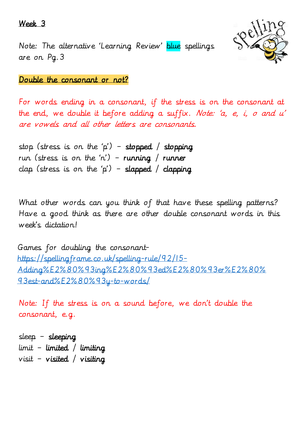### Week 3

Note: The alternative 'Learning Review' blue spellings are on Pg.3



## Double the consonant or not?

For words ending in a consonant, if the stress is on the consonant at the end, we double it before adding a suffix. Note: 'a, e, i, o and  $u'$ are vowels and all other letters are consonants.

stop (stress is on the 'p') - stopped / stopping run (stress is on the 'n') - running / runner clap (stress is on the 'p') - slapped / clapping

What other words can you think of that have these spelling patterns? Have a good think as there are other double consonant words in this week's dictation!

Games for doubling the consonant[https://spellingframe.co.uk/spelling-rule/92/15-](https://spellingframe.co.uk/spelling-rule/92/15-Adding%E2%80%93ing%E2%80%93ed%E2%80%93er%E2%80%93est-and%E2%80%93y-to-words/) [Adding%E2%80%93ing%E2%80%93ed%E2%80%93er%E2%80%](https://spellingframe.co.uk/spelling-rule/92/15-Adding%E2%80%93ing%E2%80%93ed%E2%80%93er%E2%80%93est-and%E2%80%93y-to-words/) [93est-and%E2%80%93y-to-words/](https://spellingframe.co.uk/spelling-rule/92/15-Adding%E2%80%93ing%E2%80%93ed%E2%80%93er%E2%80%93est-and%E2%80%93y-to-words/)

Note: If the stress is on a sound before, we don't double the consonant, e.g.

sleep – sleeping  $limit - limited / limiting$ visit – visited / visiting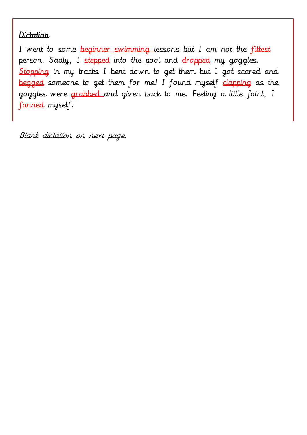# **Dictation**

I went to some beginner swimming lessons but I am not the fittest person. Sadly, I stepped into the pool and dropped my goggles. Stopping in my tracks I bent down to get them but I got scared and begged someone to get them for me! I found myself clapping as the goggles were grabbed and given back to me. Feeling a little faint, I fanned myself.

Blank dictation on next page.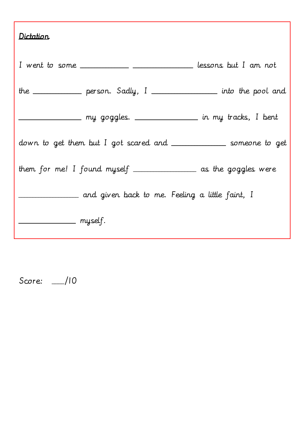| Dictation                                                             |  |
|-----------------------------------------------------------------------|--|
| I went to some ____________ __________________ lessons but I am not   |  |
| the _____________ person. Sadly, I ________________ into the pool and |  |
| __________________ my goggles. _________________ in my tracks, I bent |  |
| down to get them but I got scared and ______________ someone to get   |  |
| them for me! I found myself ________________ as the goggles were      |  |
| _ and given back to me. Feeling a little faint, I                     |  |
| ______________ myself.                                                |  |

Score: \_\_\_\_/10